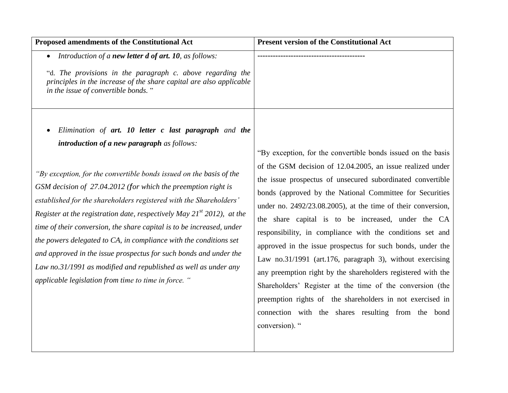| Proposed amendments of the Constitutional Act                                                                                                                                                                                                                                                                                                                                                                                                                                                                                                                                                                                                                                                                                                    | <b>Present version of the Constitutional Act</b>                                                                                                                                                                                                                                                                                                                                                                                                                                                                                                                                                                                                                                                                                                                                                                                       |
|--------------------------------------------------------------------------------------------------------------------------------------------------------------------------------------------------------------------------------------------------------------------------------------------------------------------------------------------------------------------------------------------------------------------------------------------------------------------------------------------------------------------------------------------------------------------------------------------------------------------------------------------------------------------------------------------------------------------------------------------------|----------------------------------------------------------------------------------------------------------------------------------------------------------------------------------------------------------------------------------------------------------------------------------------------------------------------------------------------------------------------------------------------------------------------------------------------------------------------------------------------------------------------------------------------------------------------------------------------------------------------------------------------------------------------------------------------------------------------------------------------------------------------------------------------------------------------------------------|
| • Introduction of a new letter d of art. 10, as follows:<br>"d. The provisions in the paragraph c. above regarding the<br>principles in the increase of the share capital are also applicable<br>in the issue of convertible bonds."                                                                                                                                                                                                                                                                                                                                                                                                                                                                                                             |                                                                                                                                                                                                                                                                                                                                                                                                                                                                                                                                                                                                                                                                                                                                                                                                                                        |
| Elimination of art. 10 letter c last paragraph and the<br>introduction of a new paragraph as follows:<br>"By exception, for the convertible bonds issued on the basis of the<br>GSM decision of 27.04.2012 (for which the preemption right is<br>established for the shareholders registered with the Shareholders'<br>Register at the registration date, respectively May $21^{st}$ 2012), at the<br>time of their conversion, the share capital is to be increased, under<br>the powers delegated to CA, in compliance with the conditions set<br>and approved in the issue prospectus for such bonds and under the<br>Law no.31/1991 as modified and republished as well as under any<br>applicable legislation from time to time in force. " | "By exception, for the convertible bonds issued on the basis<br>of the GSM decision of 12.04.2005, an issue realized under<br>the issue prospectus of unsecured subordinated convertible<br>bonds (approved by the National Committee for Securities<br>under no. $2492/23.08.2005$ , at the time of their conversion,<br>the share capital is to be increased, under the CA<br>responsibility, in compliance with the conditions set and<br>approved in the issue prospectus for such bonds, under the<br>Law no.31/1991 (art.176, paragraph 3), without exercising<br>any preemption right by the shareholders registered with the<br>Shareholders' Register at the time of the conversion (the<br>preemption rights of the shareholders in not exercised in<br>connection with the shares resulting from the bond<br>conversion). " |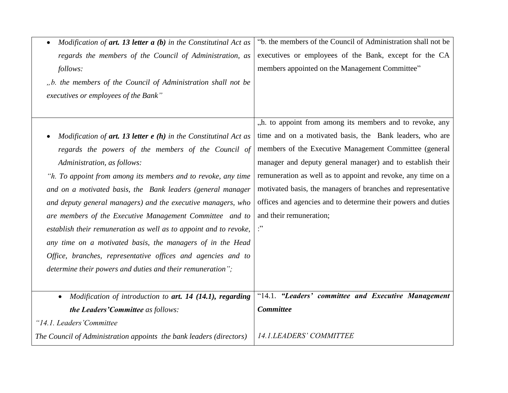| Modification of $art.$ 13 letter $a(b)$ in the Constitutinal Act as    | "b. the members of the Council of Administration shall not be |
|------------------------------------------------------------------------|---------------------------------------------------------------|
| regards the members of the Council of Administration, as               | executives or employees of the Bank, except for the CA        |
| follows:                                                               | members appointed on the Management Committee"                |
| "b. the members of the Council of Administration shall not be          |                                                               |
| executives or employees of the Bank"                                   |                                                               |
|                                                                        |                                                               |
|                                                                        | "h. to appoint from among its members and to revoke, any      |
| Modification of $art.$ 13 letter $e(h)$ in the Constitutinal Act as    | time and on a motivated basis, the Bank leaders, who are      |
| regards the powers of the members of the Council of                    | members of the Executive Management Committee (general        |
| Administration, as follows:                                            | manager and deputy general manager) and to establish their    |
| "h. To appoint from among its members and to revoke, any time          | remuneration as well as to appoint and revoke, any time on a  |
| and on a motivated basis, the Bank leaders (general manager            | motivated basis, the managers of branches and representative  |
| and deputy general managers) and the executive managers, who           | offices and agencies and to determine their powers and duties |
| are members of the Executive Management Committee and to               | and their remuneration;                                       |
| establish their remuneration as well as to appoint and to revoke,      | $\cdot$ "                                                     |
| any time on a motivated basis, the managers of in the Head             |                                                               |
| Office, branches, representative offices and agencies and to           |                                                               |
| determine their powers and duties and their remuneration";             |                                                               |
|                                                                        |                                                               |
| Modification of introduction to art. 14 (14.1), regarding<br>$\bullet$ | "14.1. "Leaders' committee and Executive Management           |
| the Leaders' Committee as follows:                                     | <b>Committee</b>                                              |
| "14.1. Leaders' Committee                                              |                                                               |
| The Council of Administration appoints the bank leaders (directors)    | 14.1.LEADERS' COMMITTEE                                       |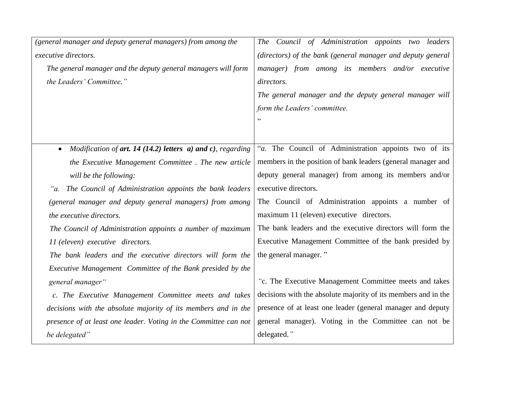| (general manager and deputy general managers) from among the      | The Council of Administration appoints two leaders             |
|-------------------------------------------------------------------|----------------------------------------------------------------|
| executive directors.                                              | (directors) of the bank (general manager and deputy general    |
| The general manager and the deputy general managers will form     | manager) from among its members and/or executive               |
| the Leaders' Committee."                                          | directors.                                                     |
|                                                                   | The general manager and the deputy general manager will        |
|                                                                   | form the Leaders' committee.                                   |
|                                                                   |                                                                |
|                                                                   |                                                                |
| Modification of $art. 14(14.2)$ letters $a)$ and $c)$ , regarding | "a. The Council of Administration appoints two of its          |
| the Executive Management Committee. The new article               | members in the position of bank leaders (general manager and   |
| will be the following:                                            | deputy general manager) from among its members and/or          |
| "a. The Council of Administration appoints the bank leaders       | executive directors.                                           |
| (general manager and deputy general managers) from among          | The Council of Administration appoints a number of             |
| the executive directors.                                          | maximum 11 (eleven) executive directors.                       |
| The Council of Administration appoints a number of maximum        | The bank leaders and the executive directors will form the     |
| 11 (eleven) executive directors.                                  | Executive Management Committee of the bank presided by         |
| The bank leaders and the executive directors will form the        | the general manager."                                          |
| Executive Management Committee of the Bank presided by the        |                                                                |
| general manager"                                                  | "c. The Executive Management Committee meets and takes         |
| c. The Executive Management Committee meets and takes             | decisions with the absolute majority of its members and in the |
| decisions with the absolute majority of its members and in the    | presence of at least one leader (general manager and deputy    |
| presence of at least one leader. Voting in the Committee can not  | general manager). Voting in the Committee can not be           |
| be delegated"                                                     | delegated."                                                    |